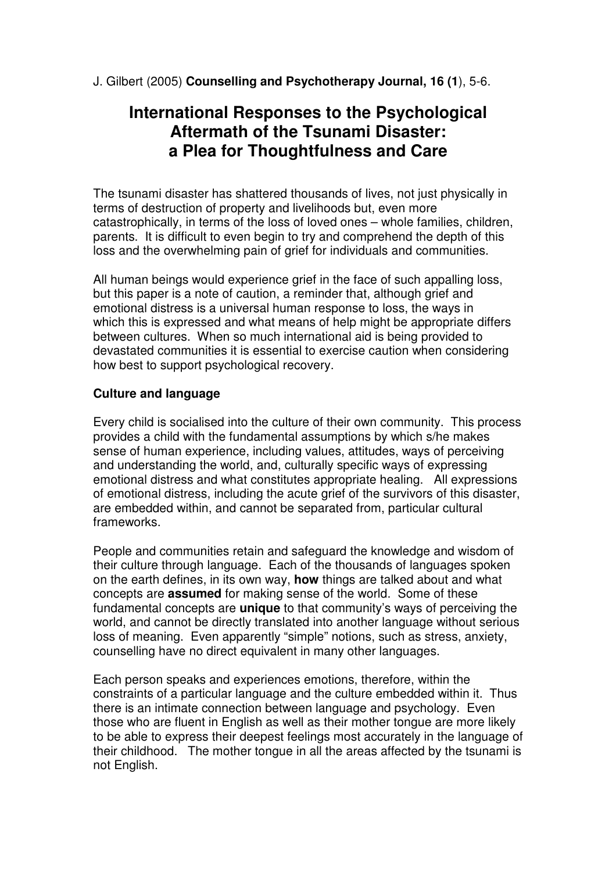J. Gilbert (2005) **Counselling and Psychotherapy Journal, 16 (1**), 5-6.

# **International Responses to the Psychological Aftermath of the Tsunami Disaster: a Plea for Thoughtfulness and Care**

The tsunami disaster has shattered thousands of lives, not just physically in terms of destruction of property and livelihoods but, even more catastrophically, in terms of the loss of loved ones – whole families, children, parents. It is difficult to even begin to try and comprehend the depth of this loss and the overwhelming pain of grief for individuals and communities.

All human beings would experience grief in the face of such appalling loss, but this paper is a note of caution, a reminder that, although grief and emotional distress is a universal human response to loss, the ways in which this is expressed and what means of help might be appropriate differs between cultures. When so much international aid is being provided to devastated communities it is essential to exercise caution when considering how best to support psychological recovery.

# **Culture and language**

Every child is socialised into the culture of their own community. This process provides a child with the fundamental assumptions by which s/he makes sense of human experience, including values, attitudes, ways of perceiving and understanding the world, and, culturally specific ways of expressing emotional distress and what constitutes appropriate healing. All expressions of emotional distress, including the acute grief of the survivors of this disaster, are embedded within, and cannot be separated from, particular cultural frameworks.

People and communities retain and safeguard the knowledge and wisdom of their culture through language. Each of the thousands of languages spoken on the earth defines, in its own way, **how** things are talked about and what concepts are **assumed** for making sense of the world. Some of these fundamental concepts are **unique** to that community's ways of perceiving the world, and cannot be directly translated into another language without serious loss of meaning. Even apparently "simple" notions, such as stress, anxiety, counselling have no direct equivalent in many other languages.

Each person speaks and experiences emotions, therefore, within the constraints of a particular language and the culture embedded within it. Thus there is an intimate connection between language and psychology. Even those who are fluent in English as well as their mother tongue are more likely to be able to express their deepest feelings most accurately in the language of their childhood. The mother tongue in all the areas affected by the tsunami is not English.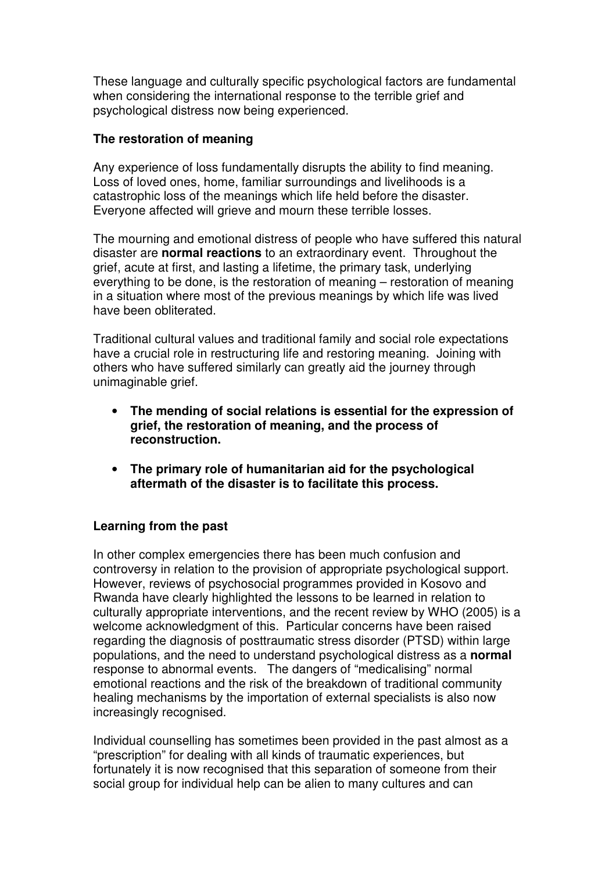These language and culturally specific psychological factors are fundamental when considering the international response to the terrible grief and psychological distress now being experienced.

## **The restoration of meaning**

Any experience of loss fundamentally disrupts the ability to find meaning. Loss of loved ones, home, familiar surroundings and livelihoods is a catastrophic loss of the meanings which life held before the disaster. Everyone affected will grieve and mourn these terrible losses.

The mourning and emotional distress of people who have suffered this natural disaster are **normal reactions** to an extraordinary event. Throughout the grief, acute at first, and lasting a lifetime, the primary task, underlying everything to be done, is the restoration of meaning – restoration of meaning in a situation where most of the previous meanings by which life was lived have been obliterated.

Traditional cultural values and traditional family and social role expectations have a crucial role in restructuring life and restoring meaning. Joining with others who have suffered similarly can greatly aid the journey through unimaginable grief.

- **The mending of social relations is essential for the expression of grief, the restoration of meaning, and the process of reconstruction.**
- **The primary role of humanitarian aid for the psychological aftermath of the disaster is to facilitate this process.**

#### **Learning from the past**

In other complex emergencies there has been much confusion and controversy in relation to the provision of appropriate psychological support. However, reviews of psychosocial programmes provided in Kosovo and Rwanda have clearly highlighted the lessons to be learned in relation to culturally appropriate interventions, and the recent review by WHO (2005) is a welcome acknowledgment of this. Particular concerns have been raised regarding the diagnosis of posttraumatic stress disorder (PTSD) within large populations, and the need to understand psychological distress as a **normal** response to abnormal events. The dangers of "medicalising" normal emotional reactions and the risk of the breakdown of traditional community healing mechanisms by the importation of external specialists is also now increasingly recognised.

Individual counselling has sometimes been provided in the past almost as a "prescription" for dealing with all kinds of traumatic experiences, but fortunately it is now recognised that this separation of someone from their social group for individual help can be alien to many cultures and can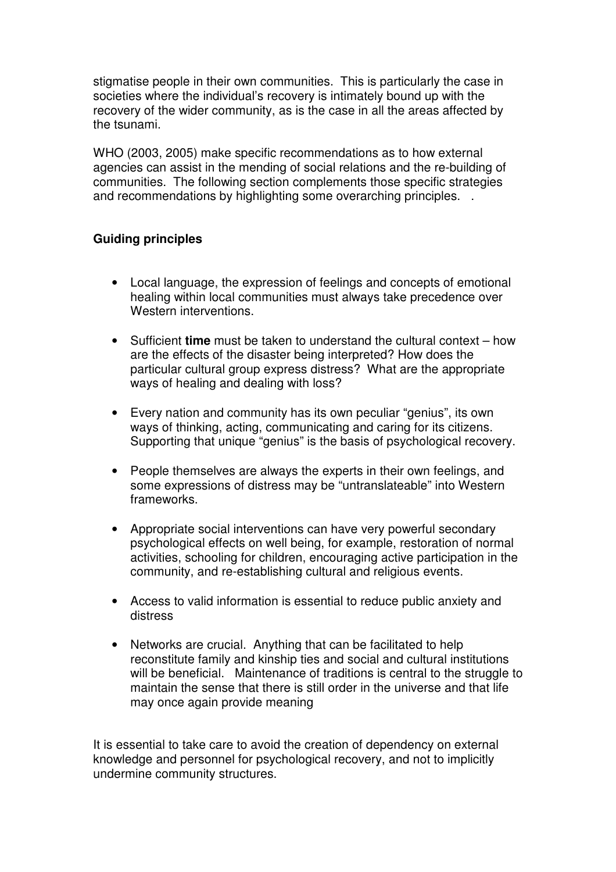stigmatise people in their own communities. This is particularly the case in societies where the individual's recovery is intimately bound up with the recovery of the wider community, as is the case in all the areas affected by the tsunami.

WHO (2003, 2005) make specific recommendations as to how external agencies can assist in the mending of social relations and the re-building of communities. The following section complements those specific strategies and recommendations by highlighting some overarching principles. .

#### **Guiding principles**

- Local language, the expression of feelings and concepts of emotional healing within local communities must always take precedence over Western interventions.
- Sufficient **time** must be taken to understand the cultural context how are the effects of the disaster being interpreted? How does the particular cultural group express distress? What are the appropriate ways of healing and dealing with loss?
- Every nation and community has its own peculiar "genius", its own ways of thinking, acting, communicating and caring for its citizens. Supporting that unique "genius" is the basis of psychological recovery.
- People themselves are always the experts in their own feelings, and some expressions of distress may be "untranslateable" into Western frameworks.
- Appropriate social interventions can have very powerful secondary psychological effects on well being, for example, restoration of normal activities, schooling for children, encouraging active participation in the community, and re-establishing cultural and religious events.
- Access to valid information is essential to reduce public anxiety and distress
- Networks are crucial. Anything that can be facilitated to help reconstitute family and kinship ties and social and cultural institutions will be beneficial. Maintenance of traditions is central to the struggle to maintain the sense that there is still order in the universe and that life may once again provide meaning

It is essential to take care to avoid the creation of dependency on external knowledge and personnel for psychological recovery, and not to implicitly undermine community structures.